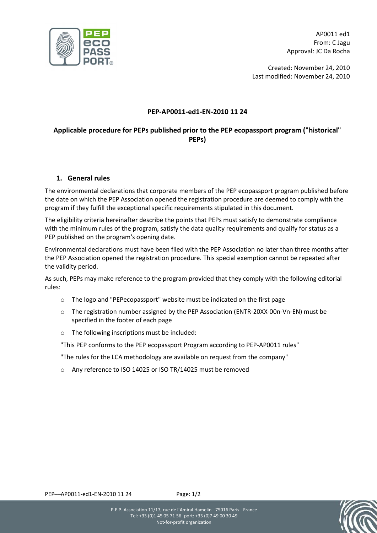

AP0011 ed1 From: C Jagu Approval: JC Da Rocha

Created: November 24, 2010 Last modified: November 24, 2010

# PEP-AP0011-ed1-EN-2010 11 24

# Applicable procedure for PEPs published prior to the PEP ecopassport program ("historical" PEPs)

# 1. General rules

The environmental declarations that corporate members of the PEP ecopassport program published before the date on which the PEP Association opened the registration procedure are deemed to comply with the program if they fulfill the exceptional specific requirements stipulated in this document.

The eligibility criteria hereinafter describe the points that PEPs must satisfy to demonstrate compliance with the minimum rules of the program, satisfy the data quality requirements and qualify for status as a PEP published on the program's opening date.

Environmental declarations must have been filed with the PEP Association no later than three months after the PEP Association opened the registration procedure. This special exemption cannot be repeated after the validity period.

As such, PEPs may make reference to the program provided that they comply with the following editorial rules:

- o The logo and "PEPecopassport" website must be indicated on the first page
- o The registration number assigned by the PEP Association (ENTR-20XX-00n-Vn-EN) must be specified in the footer of each page
- o The following inscriptions must be included:

"This PEP conforms to the PEP ecopassport Program according to PEP-AP0011 rules"

"The rules for the LCA methodology are available on request from the company"

o Any reference to ISO 14025 or ISO TR/14025 must be removed



PEP––AP0011-ed1-EN-2010 11 24 Page: 1/2